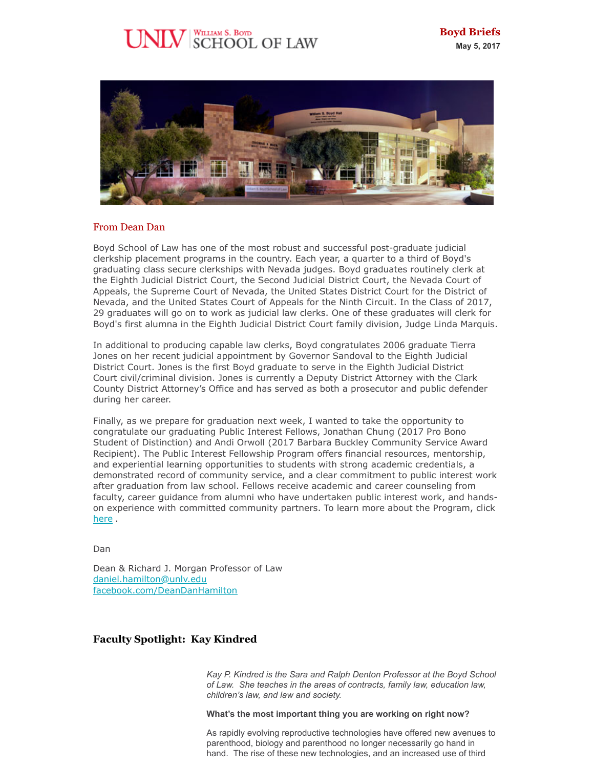# WILLIAM S. BOYD<br>SCHOOL OF LAW



#### From Dean Dan

Boyd School of Law has one of the most robust and successful post-graduate judicial clerkship placement programs in the country. Each year, a quarter to a third of Boyd's graduating class secure clerkships with Nevada judges. Boyd graduates routinely clerk at the Eighth Judicial District Court, the Second Judicial District Court, the Nevada Court of Appeals, the Supreme Court of Nevada, the United States District Court for the District of Nevada, and the United States Court of Appeals for the Ninth Circuit. In the Class of 2017, 29 graduates will go on to work as judicial law clerks. One of these graduates will clerk for Boyd's first alumna in the Eighth Judicial District Court family division, Judge Linda Marquis.

In additional to producing capable law clerks, Boyd congratulates 2006 graduate Tierra Jones on her recent judicial appointment by Governor Sandoval to the Eighth Judicial District Court. Jones is the first Boyd graduate to serve in the Eighth Judicial District Court civil/criminal division. Jones is currently a Deputy District Attorney with the Clark County District Attorney's Office and has served as both a prosecutor and public defender during her career.

Finally, as we prepare for graduation next week, I wanted to take the opportunity to congratulate our graduating Public Interest Fellows, Jonathan Chung (2017 Pro Bono Student of Distinction) and Andi Orwoll (2017 Barbara Buckley Community Service Award Recipient). The Public Interest Fellowship Program offers financial resources, mentorship, and experiential learning opportunities to students with strong academic credentials, a demonstrated record of community service, and a clear commitment to public interest work after graduation from law school. Fellows receive academic and career counseling from faculty, career guidance from alumni who have undertaken public interest work, and handson experience with committed community partners. To learn more about the Program, click [here](https://law.unlv.edu/admissions/public-interest-fellowship) .

Dan

Dean & Richard J. Morgan Professor of Law [daniel.hamilton@unlv.edu](mailto:daniel.hamilton@unlv.edu) [facebook.com/DeanDanHamilton](http://r20.rs6.net/tn.jsp?f=001hu6mZ-r4pwInu2hXt_dE7ApMwbikuYJ_EQ1JSN_GURWFIVixJ8yWy5r6Zc8eSaTmmatdQfrMcfV8mDiFfoNRUz_xfJ4rwta_Xjr1nuAxckUnnkltOEaaNiCq6oFky5WvHQKWEGiWulykky9qPjBefBFq72KKxotg3FZp90DxVVI=&c=37ZOQu8EN2kmBxeBh2U4w3n3KMNz621K7LBJg4YdHjXn8iD7XOh5dg==&ch=U69Q1DVoTBxd_SaQRq9PiMJhvuW-8ywHRfeXTxj6d2aZHbrnRIRYGg==)

# **Faculty Spotlight: Kay Kindred**

*Kay P. Kindred is the Sara and Ralph Denton Professor at the Boyd School of Law. She teaches in the areas of contracts, family law, education law, children's law, and law and society.*

**What's the most important thing you are working on right now?**

As rapidly evolving reproductive technologies have offered new avenues to parenthood, biology and parenthood no longer necessarily go hand in hand. The rise of these new technologies, and an increased use of third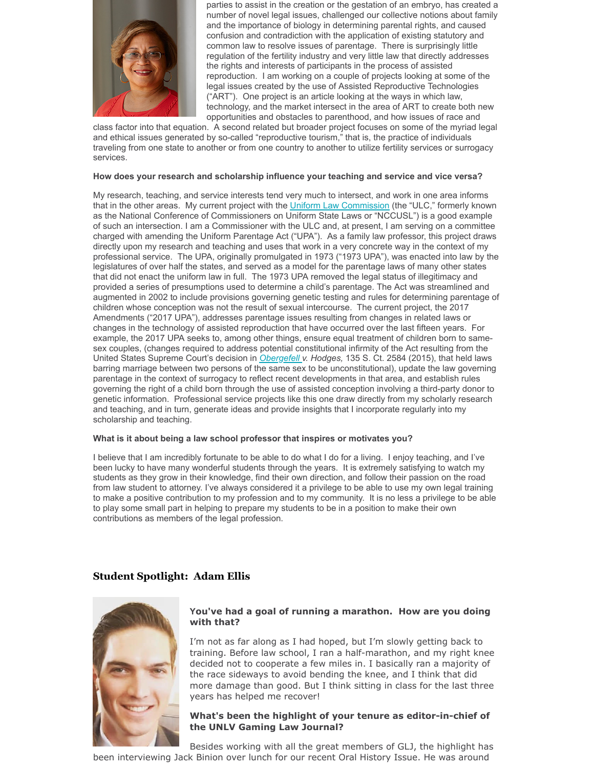

parties to assist in the creation or the gestation of an embryo, has created a number of novel legal issues, challenged our collective notions about family and the importance of biology in determining parental rights, and caused confusion and contradiction with the application of existing statutory and common law to resolve issues of parentage. There is surprisingly little regulation of the fertility industry and very little law that directly addresses the rights and interests of participants in the process of assisted reproduction. I am working on a couple of projects looking at some of the legal issues created by the use of Assisted Reproductive Technologies ("ART"). One project is an article looking at the ways in which law, technology, and the market intersect in the area of ART to create both new opportunities and obstacles to parenthood, and how issues of race and

class factor into that equation. A second related but broader project focuses on some of the myriad legal and ethical issues generated by so-called "reproductive tourism," that is, the practice of individuals traveling from one state to another or from one country to another to utilize fertility services or surrogacy services.

#### **How does your research and scholarship influence your teaching and service and vice versa?**

My research, teaching, and service interests tend very much to intersect, and work in one area informs that in the other areas. My current project with the [Uniform Law Commission](http://uniformlaws.org/) (the "ULC," formerly known as the National Conference of Commissioners on Uniform State Laws or "NCCUSL") is a good example of such an intersection. I am a Commissioner with the ULC and, at present, I am serving on a committee charged with amending the Uniform Parentage Act ("UPA"). As a family law professor, this project draws directly upon my research and teaching and uses that work in a very concrete way in the context of my professional service. The UPA, originally promulgated in 1973 ("1973 UPA"), was enacted into law by the legislatures of over half the states, and served as a model for the parentage laws of many other states that did not enact the uniform law in full. The 1973 UPA removed the legal status of illegitimacy and provided a series of presumptions used to determine a child's parentage. The Act was streamlined and augmented in 2002 to include provisions governing genetic testing and rules for determining parentage of children whose conception was not the result of sexual intercourse. The current project, the 2017 Amendments ("2017 UPA"), addresses parentage issues resulting from changes in related laws or changes in the technology of assisted reproduction that have occurred over the last fifteen years. For example, the 2017 UPA seeks to, among other things, ensure equal treatment of children born to samesex couples, (changes required to address potential constitutional infirmity of the Act resulting from the United States Supreme Court's decision in *[Obergefell](http://www.scotusblog.com/case-files/cases/obergefell-v-hodges/) v. Hodges,* 135 S. Ct. 2584 (2015), that held laws barring marriage between two persons of the same sex to be unconstitutional), update the law governing parentage in the context of surrogacy to reflect recent developments in that area, and establish rules governing the right of a child born through the use of assisted conception involving a third-party donor to genetic information. Professional service projects like this one draw directly from my scholarly research and teaching, and in turn, generate ideas and provide insights that I incorporate regularly into my scholarship and teaching.

#### **What is it about being a law school professor that inspires or motivates you?**

I believe that I am incredibly fortunate to be able to do what I do for a living. I enjoy teaching, and I've been lucky to have many wonderful students through the years. It is extremely satisfying to watch my students as they grow in their knowledge, find their own direction, and follow their passion on the road from law student to attorney. I've always considered it a privilege to be able to use my own legal training to make a positive contribution to my profession and to my community. It is no less a privilege to be able to play some small part in helping to prepare my students to be in a position to make their own contributions as members of the legal profession.

# **Student Spotlight: Adam Ellis**



## **You've had a goal of running a marathon. How are you doing with that?**

I'm not as far along as I had hoped, but I'm slowly getting back to training. Before law school, I ran a half-marathon, and my right knee decided not to cooperate a few miles in. I basically ran a majority of the race sideways to avoid bending the knee, and I think that did more damage than good. But I think sitting in class for the last three years has helped me recover!

#### **What's been the highlight of your tenure as editor-in-chief of the UNLV Gaming Law Journal?**

Besides working with all the great members of GLJ, the highlight has been interviewing Jack Binion over lunch for our recent Oral History Issue. He was around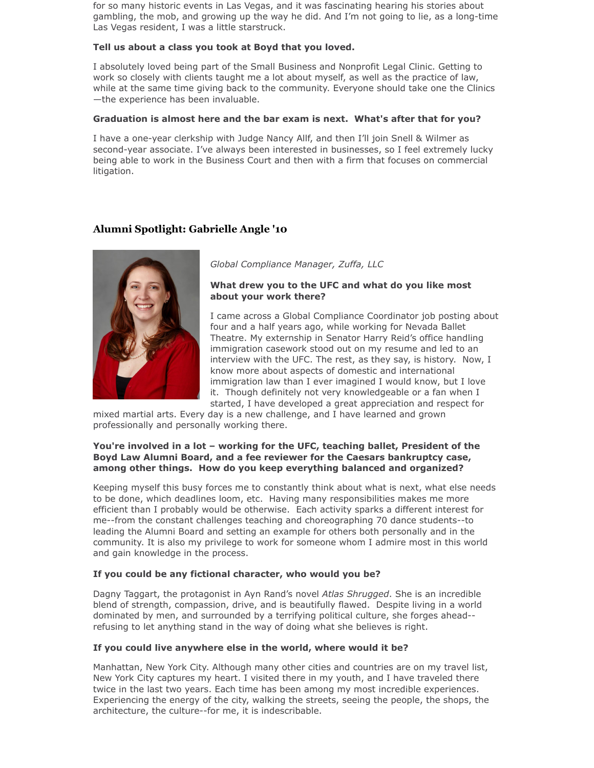for so many historic events in Las Vegas, and it was fascinating hearing his stories about gambling, the mob, and growing up the way he did. And I'm not going to lie, as a long-time Las Vegas resident, I was a little starstruck.

## **Tell us about a class you took at Boyd that you loved.**

I absolutely loved being part of the Small Business and Nonprofit Legal Clinic. Getting to work so closely with clients taught me a lot about myself, as well as the practice of law, while at the same time giving back to the community. Everyone should take one the Clinics —the experience has been invaluable.

#### **Graduation is almost here and the bar exam is next. What's after that for you?**

I have a one-year clerkship with Judge Nancy Allf, and then I'll join Snell & Wilmer as second-year associate. I've always been interested in businesses, so I feel extremely lucky being able to work in the Business Court and then with a firm that focuses on commercial litigation.

# **Alumni Spotlight: Gabrielle Angle '10**



*Global Compliance Manager, Zuffa, LLC*

### **What drew you to the UFC and what do you like most about your work there?**

I came across a Global Compliance Coordinator job posting about four and a half years ago, while working for Nevada Ballet Theatre. My externship in Senator Harry Reid's office handling immigration casework stood out on my resume and led to an interview with the UFC. The rest, as they say, is history. Now, I know more about aspects of domestic and international immigration law than I ever imagined I would know, but I love it. Though definitely not very knowledgeable or a fan when I started, I have developed a great appreciation and respect for

mixed martial arts. Every day is a new challenge, and I have learned and grown professionally and personally working there.

#### **You're involved in a lot – working for the UFC, teaching ballet, President of the Boyd Law Alumni Board, and a fee reviewer for the Caesars bankruptcy case, among other things. How do you keep everything balanced and organized?**

Keeping myself this busy forces me to constantly think about what is next, what else needs to be done, which deadlines loom, etc. Having many responsibilities makes me more efficient than I probably would be otherwise. Each activity sparks a different interest for me--from the constant challenges teaching and choreographing 70 dance students--to leading the Alumni Board and setting an example for others both personally and in the community. It is also my privilege to work for someone whom I admire most in this world and gain knowledge in the process.

## **If you could be any fictional character, who would you be?**

Dagny Taggart, the protagonist in Ayn Rand's novel *Atlas Shrugged*. She is an incredible blend of strength, compassion, drive, and is beautifully flawed. Despite living in a world dominated by men, and surrounded by a terrifying political culture, she forges ahead- refusing to let anything stand in the way of doing what she believes is right.

## **If you could live anywhere else in the world, where would it be?**

Manhattan, New York City. Although many other cities and countries are on my travel list, New York City captures my heart. I visited there in my youth, and I have traveled there twice in the last two years. Each time has been among my most incredible experiences. Experiencing the energy of the city, walking the streets, seeing the people, the shops, the architecture, the culture--for me, it is indescribable.